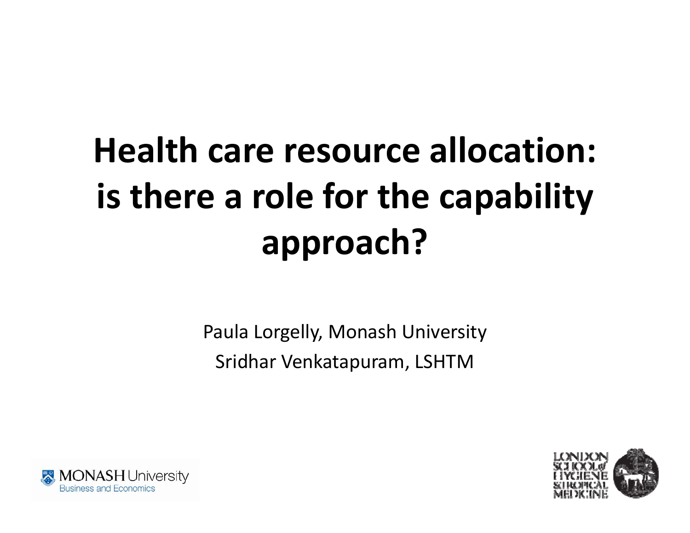# **Health care resource allocation: is there <sup>a</sup> role for the capability approach?**

Paula Lorgelly, Monash University Sridhar Venkatapuram, LSHTM



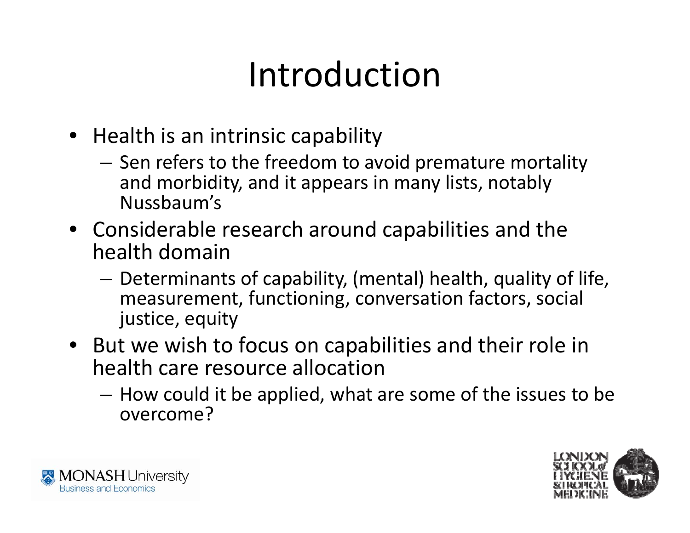### Introduction

- Health is an intrinsic capability
	- Sen refers to the freedom to avoid premature mortality and morbidity, and it appears in many lists, notably Nussbaum's
- Considerable research around capabilities and the health domain
	- – $-$  Determinants of capability, (mental) health, quality of life, measurement, functioning, conversation factors, social justice, equity
- But we wish to focus on capabilities and their role in health care resource allocation
	- How could it be applied, what are some of the issues to be overcome?



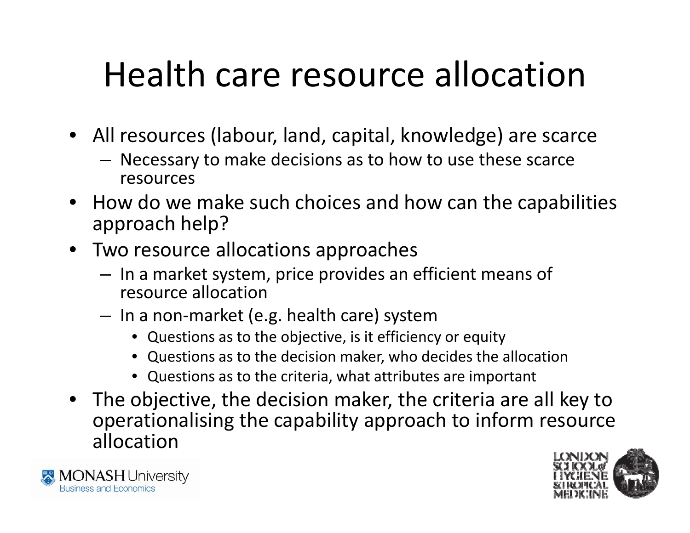### Health care resource allocation

- All resources (labour, land, capital, knowledge) are scarce
	- – Necessary to make decisions as to how to use these scarce resources
- How do we make such choices and how can the capabilities approach help?
- Two resource allocations approaches
	- – $-$  In a market system, price provides an efficient means of resource allocation
	- – In <sup>a</sup> non‐market (e.g. health care) system
		- Questions as to the objective, is it efficiency or equity
		- Questions as to the decision maker, who decides the allocation
		- Questions as to the criteria, what attributes are important
- The objective, the decision maker, the criteria are all key to operationalising the capability approach to inform resource allocation



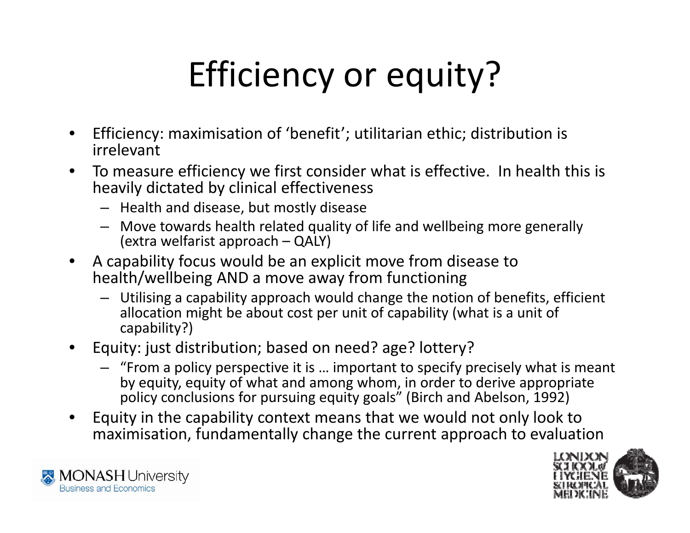# Efficiency or equity?

- $\bullet$  Efficiency: maximisation of 'benefit'; utilitarian ethic; distribution is irrelevant
- $\bullet$  $\bullet$  To measure efficiency we first consider what is effective. In health this is heavily dictated by clinical effectiveness
	- Health and disease, but mostly disease
	- Move towards health related quality of life and wellbeing more generally (extra welfarist approach – QALY)
- • A capability focus would be an explicit move from disease to health/wellbeing AND <sup>a</sup> move away from functioning
	- $-$  Utilising a capability approach would change the notion of benefits, efficient allocation might be about cost per unit of capability (what is <sup>a</sup> unit of capability?)
- $\bullet$  Equity: just distribution; based on need? age? lottery?
	- "From <sup>a</sup> policy perspective it is … important to specify precisely what is meant by equity, equity of what and among whom, in order to derive appropriate policy conclusions for pursuing equity goals" (Birch and Abelson, 1992)
- • Equity in the capability context means that we would not only look to maximisation, fundamentally change the current approach to evaluation



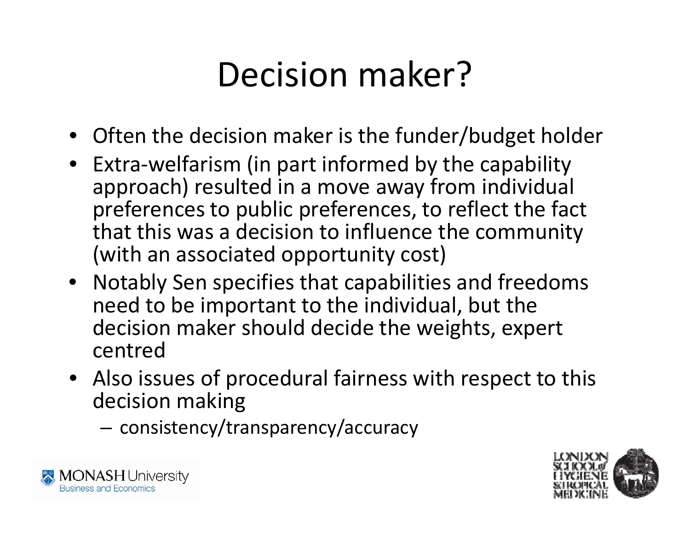### Decision maker?

- Often the decision maker is the funder/budget holder
- Extra‐welfarism (in part informed by the capability approach) resulted in <sup>a</sup> move away from individual preferences to public preferences, to reflect the fact that this was a decision to influence the community (with an associated opportunity cost)
- Notably Sen specifies that capabilities and freedoms need to be important to the individual, but the decision maker should decide the weights, expert centred
- Also issues of procedural fairness with respect to this decision making
	- consistency/transparency/accuracy



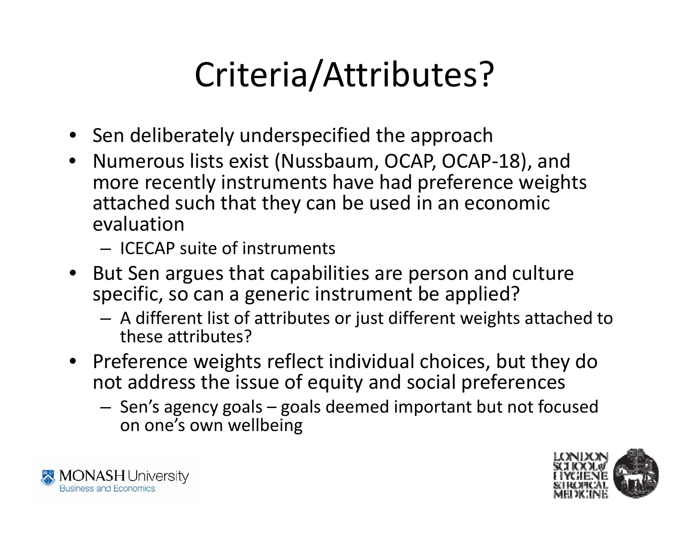## Criteria/Attributes?

- Sen deliberately underspecified the approach
- Numerous lists exist (Nussbaum, OCAP, OCAP-18), and more recently instruments have had preference weights attached such that they can be used in an economic evaluation

– ICECAP suite of instruments

- But Sen argues that capabilities are person and culture specific, so can a generic instrument be applied?
	- A different list of attributes or just different weights attached to these attributes?
- Preference weights reflect individual choices, but they do not address the issue of equity and social preferences
	- – $-$  Sen's agency goals – goals deemed important but not focused on one's own wellbein g



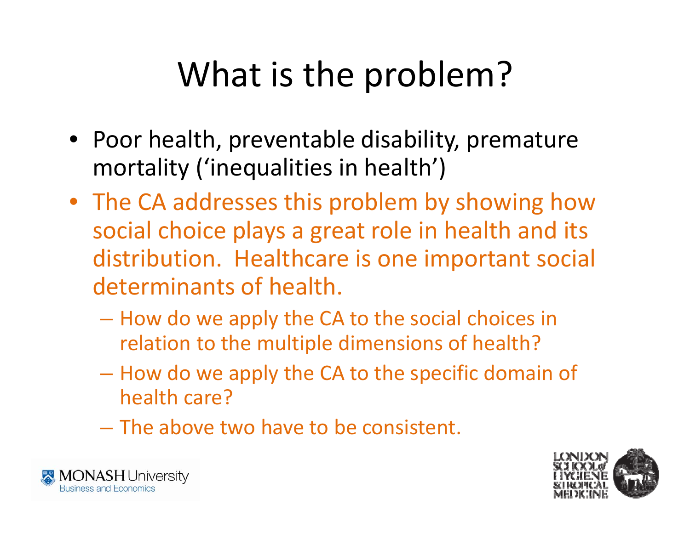## What is the problem?

- Poor health, preventable disability, premature mortality ('inequalities in health')
- The CA addresses this problem by showing how social choice plays <sup>a</sup> great role in health and its distribution. Healthcare is one important social determinants of health.
	- How do we apply the CA to the social choices in relation to the multiple dimensions of health?
	- $-$  How do we apply the CA to the specific domain of health care?
	- The above two have to be consistent.



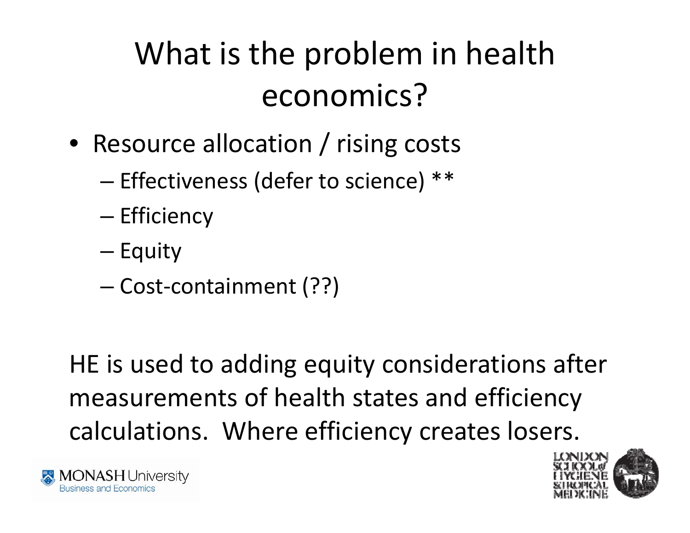#### What is the problem in health economics?

- Resource allocation / rising costs
	- – $-$  Effectiveness (defer to science)  $^{\ast\ast}$
	- –— Efficiency
	- Equity
	- –Cost‐containment (??)

HE is used to adding equity considerations after measurements of health states and efficiency calculations. Where efficiency creates losers.



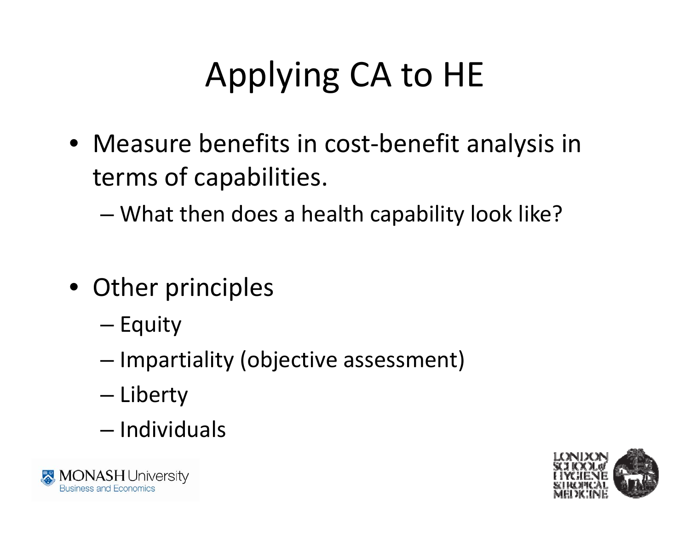## Applying CA to HE

• Measure benefits in cost‐benefit analysis in terms of capabilities.

–What then does <sup>a</sup> health capability look like?

- Other principles
	- –— Equity
	- – $-$  Impartiality (objective assessment)
	- Liberty
	- Individuals



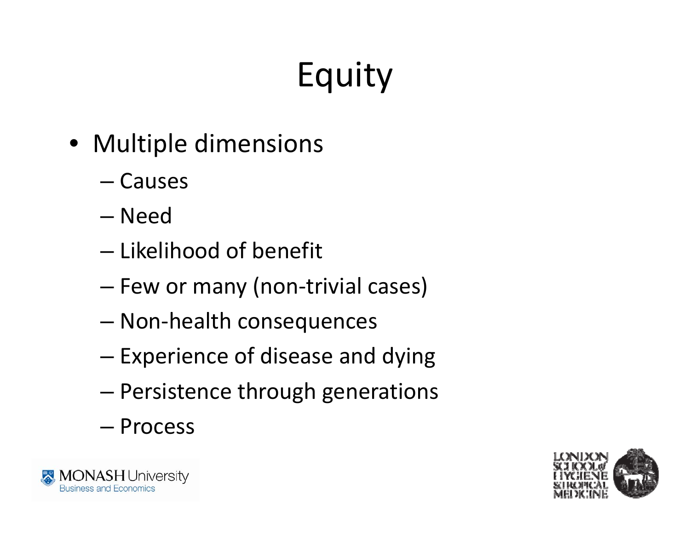# Equity

- Multiple dimensions
	- Causes
	- Need
	- Likelihood of benefit
	- Few or many (non‐trivial cases)
	- –Non‐health consequences
	- –– Experience of disease and dying
	- Persistence through generations
	- Process



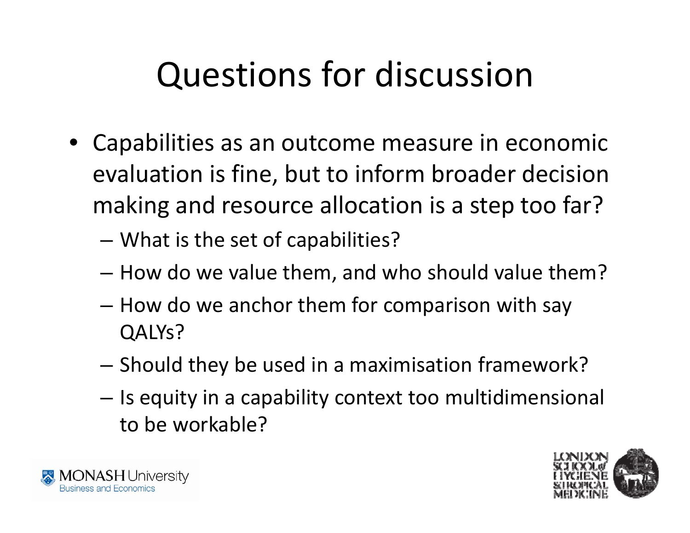## Questions for discussion

- Capabilities as an outcome measure in economic evaluation is fine, but to inform broader decision making and resource allocation is <sup>a</sup> step too far?
	- – $-$  What is the set of capabilities?
	- How do we value them, and who should value them?
	- How do we anchor them for comparison with say QALYs?
	- – $-$  Should they be used in a maximisation framework?
	- – $-$  Is equity in a capability context too multidimensional to be workable?